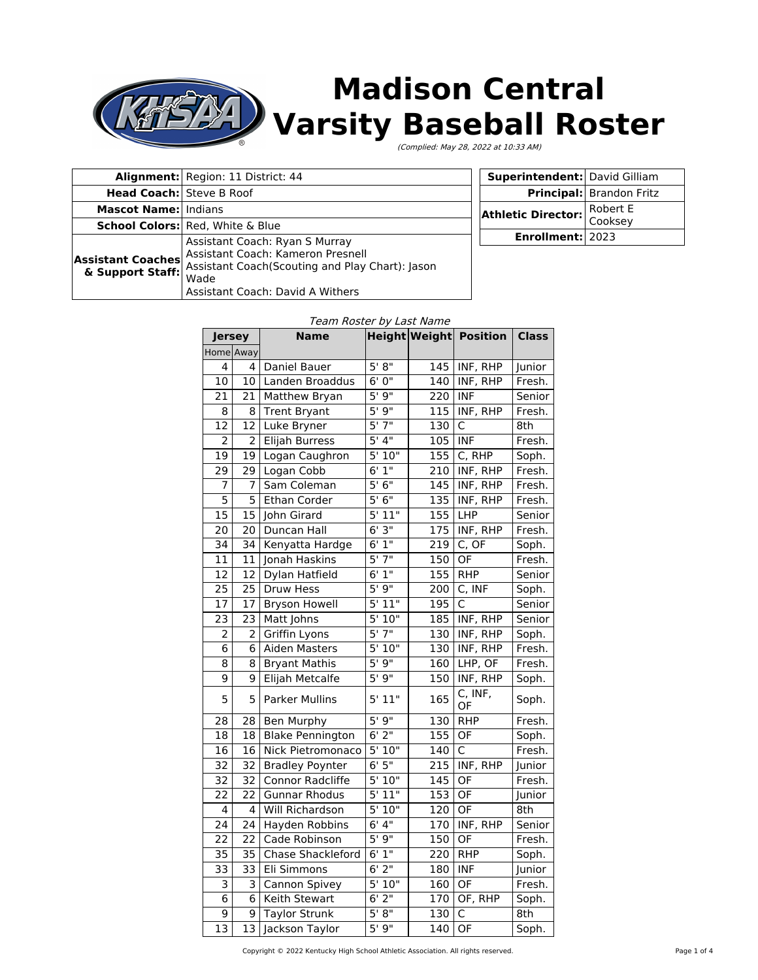

# **Madison Central Varsity Baseball Roster**

(Complied: May 28, 2022 at 10:33 AM)

| Alignment: Region: 11 District: 44 |                                                                                                                                                                                       |  |
|------------------------------------|---------------------------------------------------------------------------------------------------------------------------------------------------------------------------------------|--|
| <b>Head Coach:</b> Steve B Roof    |                                                                                                                                                                                       |  |
| <b>Mascot Name: Indians</b>        |                                                                                                                                                                                       |  |
|                                    | <b>School Colors:</b> Red, White & Blue                                                                                                                                               |  |
| <b>Assistant Coaches</b>           | Assistant Coach: Ryan S Murray<br>Assistant Coach: Kameron Presnell<br>& Support Staff: Massistant Coach (Scouting and Play Chart): Jason<br>Wade<br>Assistant Coach: David A Withers |  |

| Superintendent: David Gilliam      |                          |  |
|------------------------------------|--------------------------|--|
|                                    | Principal: Brandon Fritz |  |
| <b>Athletic Director:</b> Robert E |                          |  |
| Enrollment: 2023                   |                          |  |

#### Team Roster by Last Name

| <b>Jersey</b>   |    | Name                    |                      |     | Height Weight Position | <b>Class</b> |
|-----------------|----|-------------------------|----------------------|-----|------------------------|--------------|
| Home Away       |    |                         |                      |     |                        |              |
| 4               | 4  | Daniel Bauer            | 5' 8''               | 145 | INF, RHP               | Junior       |
| 10              | 10 | Landen Broaddus         | 6'0''                | 140 | INF, RHP               | Fresh.       |
| 21              | 21 | Matthew Bryan           | 5'9''                | 220 | <b>INF</b>             | Senior       |
| 8               | 8  | <b>Trent Bryant</b>     | 5'9''                | 115 | INF, RHP               | Fresh.       |
| 12              | 12 | Luke Bryner             | 5'7''                | 130 | C                      | 8th          |
| $\overline{2}$  | 2  | Elijah Burress          | 5'4''                | 105 | <b>INF</b>             | Fresh.       |
| 19              | 19 | Logan Caughron          | 5'10"                | 155 | C, RHP                 | Soph.        |
| 29              | 29 | Logan Cobb              | 6'1''                | 210 | INF, RHP               | Fresh.       |
| 7               | 7  | Sam Coleman             | 5'6''                | 145 | INF, RHP               | Fresh.       |
| 5               | 5  | Ethan Corder            | 5'6''                | 135 | INF, RHP               | Fresh.       |
| 15              | 15 | John Girard             | 5'11"                | 155 | LHP                    | Senior       |
| 20              | 20 | Duncan Hall             | 6'3''                | 175 | INF, RHP               | Fresh.       |
| 34              | 34 | Kenyatta Hardge         | 6'1''                | 219 | C, OF                  | Soph.        |
| 11              | 11 | Jonah Haskins           | 5'7''                | 150 | $\overline{OF}$        | Fresh.       |
| 12              | 12 | Dylan Hatfield          | 6'1''                | 155 | <b>RHP</b>             | Senior       |
| 25              | 25 | Druw Hess               | 5'9''                | 200 | C, INF                 | Soph.        |
| 17              | 17 | <b>Bryson Howell</b>    | 5'11"                | 195 | C                      | Senior       |
| 23              | 23 | Matt Johns              | 5'10"                | 185 | INF, RHP               | Senior       |
| 2               | 2  | Griffin Lyons           | 5'7''                | 130 | INF, RHP               | Soph.        |
| 6               | 6  | <b>Aiden Masters</b>    | 5'10''               | 130 | INF, RHP               | Fresh.       |
| 8               | 8  | <b>Bryant Mathis</b>    | 5'9''                | 160 | LHP, OF                | Fresh.       |
| 9               | 9  | Elijah Metcalfe         | 5'9''                | 150 | INF, RHP               | Soph.        |
| 5               | 5  | <b>Parker Mullins</b>   | 5' 11"               | 165 | C, INF,<br>OF          | Soph.        |
| 28              | 28 | Ben Murphy              | 5' 9"                | 130 | <b>RHP</b>             | Fresh.       |
| 18              | 18 | <b>Blake Pennington</b> | $6'$ 2"              | 155 | OF                     | Soph.        |
| 16              | 16 | Nick Pietromonaco       | 5'10"                | 140 | $\mathsf{C}$           | Fresh.       |
| 32              | 32 | <b>Bradley Poynter</b>  | 6'5''                | 215 | INF, RHP               | Junior       |
| 32              | 32 | Connor Radcliffe        | 5'10"                | 145 | OF                     | Fresh.       |
| 22              | 22 | <b>Gunnar Rhodus</b>    | 5' 11"               | 153 | OF                     | Junior       |
| 4               | 4  | Will Richardson         | 5'10''               | 120 | OF                     | 8th          |
| 24              | 24 | Hayden Robbins          | 6'4''                | 170 | INF, RHP               | Senior       |
| 22              | 22 | Cade Robinson           | 5'9''                | 150 | OF                     | Fresh.       |
| 35              | 35 | Chase Shackleford       | 6'1''                | 220 | <b>RHP</b>             | Soph.        |
| 33              | 33 | Eli Simmons             | $6'$ 2"              | 180 | <b>INF</b>             | Junior       |
| 3               | 3  | Cannon Spivey           | $\overline{5}$ ' 10" | 160 | <b>OF</b>              | Fresh.       |
| 6               | 6  | Keith Stewart           | $6'$ 2"              | 170 | OF, RHP                | Soph.        |
| 9               | 9  | <b>Taylor Strunk</b>    | 5' 8''               | 130 | C                      | 8th          |
| $\overline{13}$ | 13 | Jackson Taylor          | 5'9''                | 140 | OF                     | Soph.        |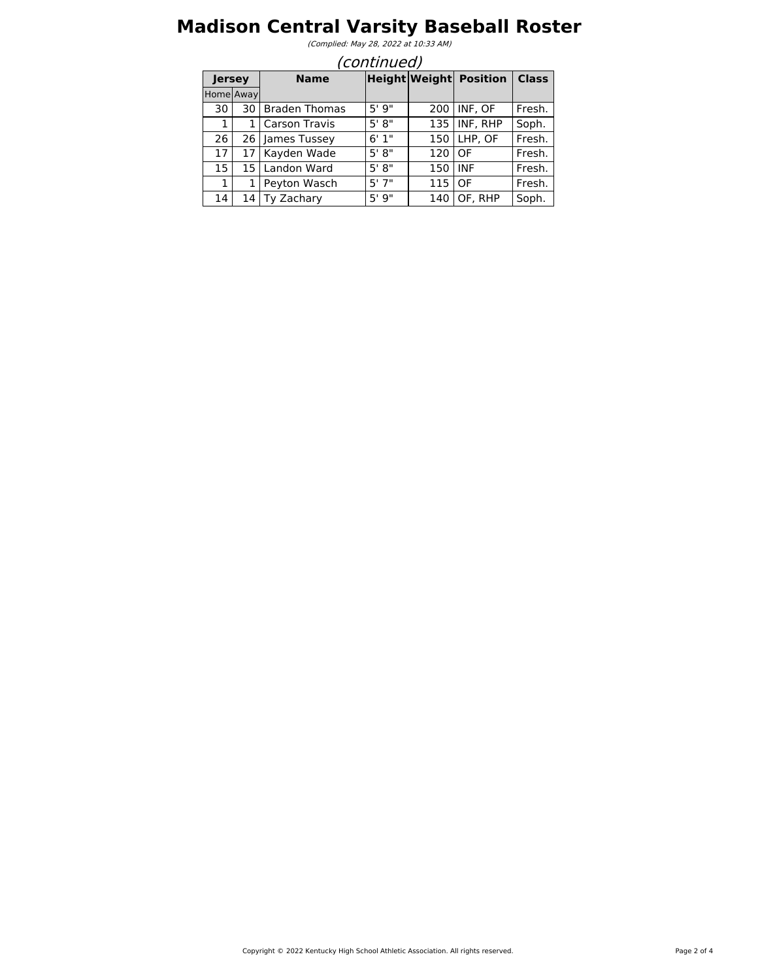## **Madison Central Varsity Baseball Roster**

(Complied: May 28, 2022 at 10:33 AM)

|           | (continued)           |                      |        |     |                               |              |  |  |
|-----------|-----------------------|----------------------|--------|-----|-------------------------------|--------------|--|--|
|           | <b>Name</b><br>Jersey |                      |        |     | <b>Height Weight Position</b> | <b>Class</b> |  |  |
| Home Away |                       |                      |        |     |                               |              |  |  |
| 30        | 30                    | <b>Braden Thomas</b> | 5'9''  | 200 | INF, OF                       | Fresh.       |  |  |
| 1         | 1                     | Carson Travis        | 5' 8"  | 135 | INF, RHP                      | Soph.        |  |  |
| 26        | 26                    | James Tussey         | 6'1"   | 150 | LHP, OF                       | Fresh.       |  |  |
| 17        | 17                    | Kayden Wade          | 5' 8'' | 120 | OF                            | Fresh.       |  |  |
| 15        | 15                    | Landon Ward          | 5' 8"  | 150 | <b>INF</b>                    | Fresh.       |  |  |
| 1         |                       | Peyton Wasch         | 5'7"   | 115 | OF                            | Fresh.       |  |  |
| 14        | 14                    | Ty Zachary           | 5'9''  | 140 | OF. RHP                       | Soph.        |  |  |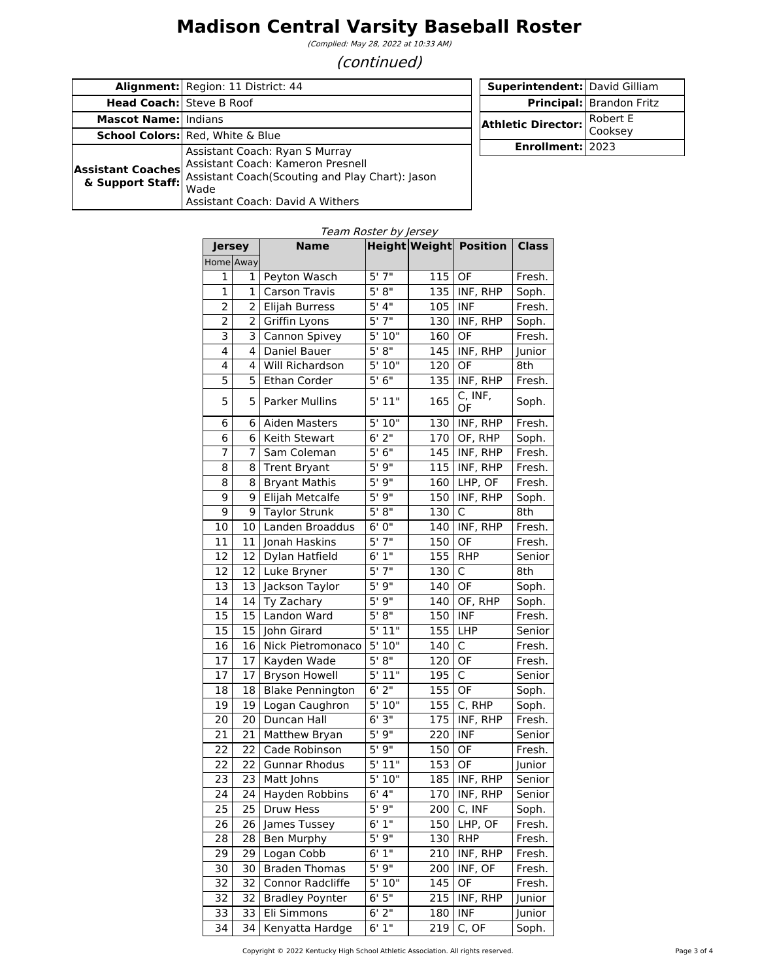## **Madison Central Varsity Baseball Roster**

(Complied: May 28, 2022 at 10:33 AM)

#### (continued)

|                                 | <b>Alignment:</b> Region: 11 District: 44                        | <b>Superintendent:</b> David Gilliam |                                 |
|---------------------------------|------------------------------------------------------------------|--------------------------------------|---------------------------------|
| <b>Head Coach:</b> Steve B Roof |                                                                  |                                      | <b>Principal:</b> Brandon Fritz |
| <b>Mascot Name: Indians</b>     |                                                                  | <b>Athletic Director:</b>            | Robert E                        |
|                                 | <b>School Colors:</b> Red, White & Blue                          |                                      | Cooksey                         |
|                                 | Assistant Coach: Ryan S Murray                                   | Enrollment: 2023                     |                                 |
| <b>Assistant Coaches</b>        | Assistant Coach: Kameron Presnell                                |                                      |                                 |
|                                 | & Support Staff: Assistant Coach(Scouting and Play Chart): Jason |                                      |                                 |
|                                 | Wade                                                             |                                      |                                 |
|                                 | Assistant Coach: David A Withers                                 |                                      |                                 |

| <b>Height Weight Position Class</b><br><b>Jersey</b><br>Home Away<br>$5'$ $7''$<br>115<br>OF<br>Peyton Wasch<br>Fresh.<br>1<br>1<br>5' 8''<br>135<br>INF, RHP<br>Carson Travis<br>Soph.<br>1<br>1<br>5'4''<br>Elijah Burress<br>105<br><b>INF</b><br>Fresh.<br>2<br>2<br>5'7''<br>Griffin Lyons<br>INF, RHP<br>2<br>130<br>Soph.<br>2<br>5'10"<br>Cannon Spivey<br>OF<br>Fresh.<br>3<br>3<br>160<br>5' 8''<br>4<br>4<br>Daniel Bauer<br>145<br>INF, RHP<br>Junior<br>5'10"<br>4<br>4<br><b>Will Richardson</b><br>OF<br>8th<br>120<br>5'6''<br>5<br>INF, RHP<br>5<br>135<br>Fresh.<br><b>Ethan Corder</b><br>C, INF,<br>5<br>5' 11"<br>5<br>165<br><b>Parker Mullins</b><br>Soph.<br>OF<br>5'10"<br>130<br>INF, RHP<br>Fresh.<br>6<br>6<br>Aiden Masters<br>$6'$ 2"<br>170<br>OF, RHP<br>6<br>6<br>Keith Stewart<br>Soph.<br>5'6''<br>INF, RHP<br>7<br>7<br>145<br>Fresh.<br>Sam Coleman<br>5'9''<br>115<br>INF, RHP<br>Fresh.<br>8<br>8<br><b>Trent Bryant</b><br>5'9''<br>$LHP$ , OF<br>160<br>Fresh.<br>8<br>8<br><b>Bryant Mathis</b><br>5'9''<br>INF, RHP<br>9<br>9<br>Elijah Metcalfe<br>150<br>Soph.<br>5' 8''<br>9<br>130<br>9<br><b>Taylor Strunk</b><br>C<br>8th<br>6'0''<br>INF, RHP<br>10<br>140<br>Fresh.<br>10<br>Landen Broaddus<br>5'7''<br>OF<br>150<br>Fresh.<br>11<br>11<br>Jonah Haskins<br>6'1''<br>155<br>12<br>Dylan Hatfield<br><b>RHP</b><br>12<br>Senior<br>5'7''<br>$\mathsf{C}$<br>130<br>8th<br>12<br>12<br>Luke Bryner<br>5'9''<br>OF<br>13<br>13<br>Jackson Taylor<br>140<br>Soph.<br>5'9''<br>14<br>14<br>Ty Zachary<br>140<br>OF, RHP<br>Soph.<br>5' 8''<br><b>INF</b><br>15<br>15<br>Landon Ward<br>150<br>Fresh.<br>5' 11"<br>155<br>15<br>15<br>LHP<br>John Girard<br>Senior<br>5'10"<br>$\mathsf{C}$<br>140<br>16<br>16<br>Nick Pietromonaco<br>Fresh.<br>5' 8''<br>OF<br>17<br>Kayden Wade<br>120<br>Fresh.<br>17<br>$5'$ 11"<br>$\overline{C}$<br>195<br>17<br>17<br><b>Bryson Howell</b><br>Senior<br>$6'$ 2"<br>155<br>OF<br><b>Blake Pennington</b><br>18<br>18<br>Soph.<br>5'10"<br>C, RHP<br>19<br>19<br>155<br>Soph.<br>Logan Caughron<br>6'3''<br>175<br>20<br>Duncan Hall<br>INF, RHP<br>Fresh.<br>20<br>5'9''<br><b>INF</b><br>21<br>220<br>21<br>Matthew Bryan<br>Senior<br>5'9''<br>OF<br>22<br>150<br>22<br>Cade Robinson<br>Fresh.<br>5'11"<br>OF<br><b>Gunnar Rhodus</b><br>153<br>22<br>22<br>Junior<br>5'10''<br>23<br>INF, RHP<br>23<br>Matt Johns<br>185<br>Senior<br>INF, RHP<br>6' 4''<br>24<br>24<br>Hayden Robbins<br>170<br>Senior<br>5'9''<br>25<br>C, INF<br>25<br>Druw Hess<br>200<br>Soph.<br>6'1''<br>26<br>26<br>150<br>LHP, OF<br>Fresh.<br>James Tussey<br>5'9''<br>130<br>28<br>28<br>Ben Murphy<br><b>RHP</b><br>Fresh.<br>6'1''<br>Logan Cobb<br>INF, RHP<br>29<br>29<br>210<br>Fresh. |    |    | <i>i calli Nostei by jersey</i><br><b>Name</b> |       |     |         |        |
|-----------------------------------------------------------------------------------------------------------------------------------------------------------------------------------------------------------------------------------------------------------------------------------------------------------------------------------------------------------------------------------------------------------------------------------------------------------------------------------------------------------------------------------------------------------------------------------------------------------------------------------------------------------------------------------------------------------------------------------------------------------------------------------------------------------------------------------------------------------------------------------------------------------------------------------------------------------------------------------------------------------------------------------------------------------------------------------------------------------------------------------------------------------------------------------------------------------------------------------------------------------------------------------------------------------------------------------------------------------------------------------------------------------------------------------------------------------------------------------------------------------------------------------------------------------------------------------------------------------------------------------------------------------------------------------------------------------------------------------------------------------------------------------------------------------------------------------------------------------------------------------------------------------------------------------------------------------------------------------------------------------------------------------------------------------------------------------------------------------------------------------------------------------------------------------------------------------------------------------------------------------------------------------------------------------------------------------------------------------------------------------------------------------------------------------------------------------------------------------------------------------------------------------------------------------------------------------------------------------------------------------------------------------------------------------------------------------------------------------------------------------------|----|----|------------------------------------------------|-------|-----|---------|--------|
|                                                                                                                                                                                                                                                                                                                                                                                                                                                                                                                                                                                                                                                                                                                                                                                                                                                                                                                                                                                                                                                                                                                                                                                                                                                                                                                                                                                                                                                                                                                                                                                                                                                                                                                                                                                                                                                                                                                                                                                                                                                                                                                                                                                                                                                                                                                                                                                                                                                                                                                                                                                                                                                                                                                                                                 |    |    |                                                |       |     |         |        |
|                                                                                                                                                                                                                                                                                                                                                                                                                                                                                                                                                                                                                                                                                                                                                                                                                                                                                                                                                                                                                                                                                                                                                                                                                                                                                                                                                                                                                                                                                                                                                                                                                                                                                                                                                                                                                                                                                                                                                                                                                                                                                                                                                                                                                                                                                                                                                                                                                                                                                                                                                                                                                                                                                                                                                                 |    |    |                                                |       |     |         |        |
|                                                                                                                                                                                                                                                                                                                                                                                                                                                                                                                                                                                                                                                                                                                                                                                                                                                                                                                                                                                                                                                                                                                                                                                                                                                                                                                                                                                                                                                                                                                                                                                                                                                                                                                                                                                                                                                                                                                                                                                                                                                                                                                                                                                                                                                                                                                                                                                                                                                                                                                                                                                                                                                                                                                                                                 |    |    |                                                |       |     |         |        |
|                                                                                                                                                                                                                                                                                                                                                                                                                                                                                                                                                                                                                                                                                                                                                                                                                                                                                                                                                                                                                                                                                                                                                                                                                                                                                                                                                                                                                                                                                                                                                                                                                                                                                                                                                                                                                                                                                                                                                                                                                                                                                                                                                                                                                                                                                                                                                                                                                                                                                                                                                                                                                                                                                                                                                                 |    |    |                                                |       |     |         |        |
|                                                                                                                                                                                                                                                                                                                                                                                                                                                                                                                                                                                                                                                                                                                                                                                                                                                                                                                                                                                                                                                                                                                                                                                                                                                                                                                                                                                                                                                                                                                                                                                                                                                                                                                                                                                                                                                                                                                                                                                                                                                                                                                                                                                                                                                                                                                                                                                                                                                                                                                                                                                                                                                                                                                                                                 |    |    |                                                |       |     |         |        |
|                                                                                                                                                                                                                                                                                                                                                                                                                                                                                                                                                                                                                                                                                                                                                                                                                                                                                                                                                                                                                                                                                                                                                                                                                                                                                                                                                                                                                                                                                                                                                                                                                                                                                                                                                                                                                                                                                                                                                                                                                                                                                                                                                                                                                                                                                                                                                                                                                                                                                                                                                                                                                                                                                                                                                                 |    |    |                                                |       |     |         |        |
|                                                                                                                                                                                                                                                                                                                                                                                                                                                                                                                                                                                                                                                                                                                                                                                                                                                                                                                                                                                                                                                                                                                                                                                                                                                                                                                                                                                                                                                                                                                                                                                                                                                                                                                                                                                                                                                                                                                                                                                                                                                                                                                                                                                                                                                                                                                                                                                                                                                                                                                                                                                                                                                                                                                                                                 |    |    |                                                |       |     |         |        |
|                                                                                                                                                                                                                                                                                                                                                                                                                                                                                                                                                                                                                                                                                                                                                                                                                                                                                                                                                                                                                                                                                                                                                                                                                                                                                                                                                                                                                                                                                                                                                                                                                                                                                                                                                                                                                                                                                                                                                                                                                                                                                                                                                                                                                                                                                                                                                                                                                                                                                                                                                                                                                                                                                                                                                                 |    |    |                                                |       |     |         |        |
|                                                                                                                                                                                                                                                                                                                                                                                                                                                                                                                                                                                                                                                                                                                                                                                                                                                                                                                                                                                                                                                                                                                                                                                                                                                                                                                                                                                                                                                                                                                                                                                                                                                                                                                                                                                                                                                                                                                                                                                                                                                                                                                                                                                                                                                                                                                                                                                                                                                                                                                                                                                                                                                                                                                                                                 |    |    |                                                |       |     |         |        |
|                                                                                                                                                                                                                                                                                                                                                                                                                                                                                                                                                                                                                                                                                                                                                                                                                                                                                                                                                                                                                                                                                                                                                                                                                                                                                                                                                                                                                                                                                                                                                                                                                                                                                                                                                                                                                                                                                                                                                                                                                                                                                                                                                                                                                                                                                                                                                                                                                                                                                                                                                                                                                                                                                                                                                                 |    |    |                                                |       |     |         |        |
|                                                                                                                                                                                                                                                                                                                                                                                                                                                                                                                                                                                                                                                                                                                                                                                                                                                                                                                                                                                                                                                                                                                                                                                                                                                                                                                                                                                                                                                                                                                                                                                                                                                                                                                                                                                                                                                                                                                                                                                                                                                                                                                                                                                                                                                                                                                                                                                                                                                                                                                                                                                                                                                                                                                                                                 |    |    |                                                |       |     |         |        |
|                                                                                                                                                                                                                                                                                                                                                                                                                                                                                                                                                                                                                                                                                                                                                                                                                                                                                                                                                                                                                                                                                                                                                                                                                                                                                                                                                                                                                                                                                                                                                                                                                                                                                                                                                                                                                                                                                                                                                                                                                                                                                                                                                                                                                                                                                                                                                                                                                                                                                                                                                                                                                                                                                                                                                                 |    |    |                                                |       |     |         |        |
|                                                                                                                                                                                                                                                                                                                                                                                                                                                                                                                                                                                                                                                                                                                                                                                                                                                                                                                                                                                                                                                                                                                                                                                                                                                                                                                                                                                                                                                                                                                                                                                                                                                                                                                                                                                                                                                                                                                                                                                                                                                                                                                                                                                                                                                                                                                                                                                                                                                                                                                                                                                                                                                                                                                                                                 |    |    |                                                |       |     |         |        |
|                                                                                                                                                                                                                                                                                                                                                                                                                                                                                                                                                                                                                                                                                                                                                                                                                                                                                                                                                                                                                                                                                                                                                                                                                                                                                                                                                                                                                                                                                                                                                                                                                                                                                                                                                                                                                                                                                                                                                                                                                                                                                                                                                                                                                                                                                                                                                                                                                                                                                                                                                                                                                                                                                                                                                                 |    |    |                                                |       |     |         |        |
|                                                                                                                                                                                                                                                                                                                                                                                                                                                                                                                                                                                                                                                                                                                                                                                                                                                                                                                                                                                                                                                                                                                                                                                                                                                                                                                                                                                                                                                                                                                                                                                                                                                                                                                                                                                                                                                                                                                                                                                                                                                                                                                                                                                                                                                                                                                                                                                                                                                                                                                                                                                                                                                                                                                                                                 |    |    |                                                |       |     |         |        |
|                                                                                                                                                                                                                                                                                                                                                                                                                                                                                                                                                                                                                                                                                                                                                                                                                                                                                                                                                                                                                                                                                                                                                                                                                                                                                                                                                                                                                                                                                                                                                                                                                                                                                                                                                                                                                                                                                                                                                                                                                                                                                                                                                                                                                                                                                                                                                                                                                                                                                                                                                                                                                                                                                                                                                                 |    |    |                                                |       |     |         |        |
|                                                                                                                                                                                                                                                                                                                                                                                                                                                                                                                                                                                                                                                                                                                                                                                                                                                                                                                                                                                                                                                                                                                                                                                                                                                                                                                                                                                                                                                                                                                                                                                                                                                                                                                                                                                                                                                                                                                                                                                                                                                                                                                                                                                                                                                                                                                                                                                                                                                                                                                                                                                                                                                                                                                                                                 |    |    |                                                |       |     |         |        |
|                                                                                                                                                                                                                                                                                                                                                                                                                                                                                                                                                                                                                                                                                                                                                                                                                                                                                                                                                                                                                                                                                                                                                                                                                                                                                                                                                                                                                                                                                                                                                                                                                                                                                                                                                                                                                                                                                                                                                                                                                                                                                                                                                                                                                                                                                                                                                                                                                                                                                                                                                                                                                                                                                                                                                                 |    |    |                                                |       |     |         |        |
|                                                                                                                                                                                                                                                                                                                                                                                                                                                                                                                                                                                                                                                                                                                                                                                                                                                                                                                                                                                                                                                                                                                                                                                                                                                                                                                                                                                                                                                                                                                                                                                                                                                                                                                                                                                                                                                                                                                                                                                                                                                                                                                                                                                                                                                                                                                                                                                                                                                                                                                                                                                                                                                                                                                                                                 |    |    |                                                |       |     |         |        |
|                                                                                                                                                                                                                                                                                                                                                                                                                                                                                                                                                                                                                                                                                                                                                                                                                                                                                                                                                                                                                                                                                                                                                                                                                                                                                                                                                                                                                                                                                                                                                                                                                                                                                                                                                                                                                                                                                                                                                                                                                                                                                                                                                                                                                                                                                                                                                                                                                                                                                                                                                                                                                                                                                                                                                                 |    |    |                                                |       |     |         |        |
|                                                                                                                                                                                                                                                                                                                                                                                                                                                                                                                                                                                                                                                                                                                                                                                                                                                                                                                                                                                                                                                                                                                                                                                                                                                                                                                                                                                                                                                                                                                                                                                                                                                                                                                                                                                                                                                                                                                                                                                                                                                                                                                                                                                                                                                                                                                                                                                                                                                                                                                                                                                                                                                                                                                                                                 |    |    |                                                |       |     |         |        |
|                                                                                                                                                                                                                                                                                                                                                                                                                                                                                                                                                                                                                                                                                                                                                                                                                                                                                                                                                                                                                                                                                                                                                                                                                                                                                                                                                                                                                                                                                                                                                                                                                                                                                                                                                                                                                                                                                                                                                                                                                                                                                                                                                                                                                                                                                                                                                                                                                                                                                                                                                                                                                                                                                                                                                                 |    |    |                                                |       |     |         |        |
|                                                                                                                                                                                                                                                                                                                                                                                                                                                                                                                                                                                                                                                                                                                                                                                                                                                                                                                                                                                                                                                                                                                                                                                                                                                                                                                                                                                                                                                                                                                                                                                                                                                                                                                                                                                                                                                                                                                                                                                                                                                                                                                                                                                                                                                                                                                                                                                                                                                                                                                                                                                                                                                                                                                                                                 |    |    |                                                |       |     |         |        |
|                                                                                                                                                                                                                                                                                                                                                                                                                                                                                                                                                                                                                                                                                                                                                                                                                                                                                                                                                                                                                                                                                                                                                                                                                                                                                                                                                                                                                                                                                                                                                                                                                                                                                                                                                                                                                                                                                                                                                                                                                                                                                                                                                                                                                                                                                                                                                                                                                                                                                                                                                                                                                                                                                                                                                                 |    |    |                                                |       |     |         |        |
|                                                                                                                                                                                                                                                                                                                                                                                                                                                                                                                                                                                                                                                                                                                                                                                                                                                                                                                                                                                                                                                                                                                                                                                                                                                                                                                                                                                                                                                                                                                                                                                                                                                                                                                                                                                                                                                                                                                                                                                                                                                                                                                                                                                                                                                                                                                                                                                                                                                                                                                                                                                                                                                                                                                                                                 |    |    |                                                |       |     |         |        |
|                                                                                                                                                                                                                                                                                                                                                                                                                                                                                                                                                                                                                                                                                                                                                                                                                                                                                                                                                                                                                                                                                                                                                                                                                                                                                                                                                                                                                                                                                                                                                                                                                                                                                                                                                                                                                                                                                                                                                                                                                                                                                                                                                                                                                                                                                                                                                                                                                                                                                                                                                                                                                                                                                                                                                                 |    |    |                                                |       |     |         |        |
|                                                                                                                                                                                                                                                                                                                                                                                                                                                                                                                                                                                                                                                                                                                                                                                                                                                                                                                                                                                                                                                                                                                                                                                                                                                                                                                                                                                                                                                                                                                                                                                                                                                                                                                                                                                                                                                                                                                                                                                                                                                                                                                                                                                                                                                                                                                                                                                                                                                                                                                                                                                                                                                                                                                                                                 |    |    |                                                |       |     |         |        |
|                                                                                                                                                                                                                                                                                                                                                                                                                                                                                                                                                                                                                                                                                                                                                                                                                                                                                                                                                                                                                                                                                                                                                                                                                                                                                                                                                                                                                                                                                                                                                                                                                                                                                                                                                                                                                                                                                                                                                                                                                                                                                                                                                                                                                                                                                                                                                                                                                                                                                                                                                                                                                                                                                                                                                                 |    |    |                                                |       |     |         |        |
|                                                                                                                                                                                                                                                                                                                                                                                                                                                                                                                                                                                                                                                                                                                                                                                                                                                                                                                                                                                                                                                                                                                                                                                                                                                                                                                                                                                                                                                                                                                                                                                                                                                                                                                                                                                                                                                                                                                                                                                                                                                                                                                                                                                                                                                                                                                                                                                                                                                                                                                                                                                                                                                                                                                                                                 |    |    |                                                |       |     |         |        |
|                                                                                                                                                                                                                                                                                                                                                                                                                                                                                                                                                                                                                                                                                                                                                                                                                                                                                                                                                                                                                                                                                                                                                                                                                                                                                                                                                                                                                                                                                                                                                                                                                                                                                                                                                                                                                                                                                                                                                                                                                                                                                                                                                                                                                                                                                                                                                                                                                                                                                                                                                                                                                                                                                                                                                                 |    |    |                                                |       |     |         |        |
|                                                                                                                                                                                                                                                                                                                                                                                                                                                                                                                                                                                                                                                                                                                                                                                                                                                                                                                                                                                                                                                                                                                                                                                                                                                                                                                                                                                                                                                                                                                                                                                                                                                                                                                                                                                                                                                                                                                                                                                                                                                                                                                                                                                                                                                                                                                                                                                                                                                                                                                                                                                                                                                                                                                                                                 |    |    |                                                |       |     |         |        |
|                                                                                                                                                                                                                                                                                                                                                                                                                                                                                                                                                                                                                                                                                                                                                                                                                                                                                                                                                                                                                                                                                                                                                                                                                                                                                                                                                                                                                                                                                                                                                                                                                                                                                                                                                                                                                                                                                                                                                                                                                                                                                                                                                                                                                                                                                                                                                                                                                                                                                                                                                                                                                                                                                                                                                                 |    |    |                                                |       |     |         |        |
|                                                                                                                                                                                                                                                                                                                                                                                                                                                                                                                                                                                                                                                                                                                                                                                                                                                                                                                                                                                                                                                                                                                                                                                                                                                                                                                                                                                                                                                                                                                                                                                                                                                                                                                                                                                                                                                                                                                                                                                                                                                                                                                                                                                                                                                                                                                                                                                                                                                                                                                                                                                                                                                                                                                                                                 |    |    |                                                |       |     |         |        |
|                                                                                                                                                                                                                                                                                                                                                                                                                                                                                                                                                                                                                                                                                                                                                                                                                                                                                                                                                                                                                                                                                                                                                                                                                                                                                                                                                                                                                                                                                                                                                                                                                                                                                                                                                                                                                                                                                                                                                                                                                                                                                                                                                                                                                                                                                                                                                                                                                                                                                                                                                                                                                                                                                                                                                                 |    |    |                                                |       |     |         |        |
|                                                                                                                                                                                                                                                                                                                                                                                                                                                                                                                                                                                                                                                                                                                                                                                                                                                                                                                                                                                                                                                                                                                                                                                                                                                                                                                                                                                                                                                                                                                                                                                                                                                                                                                                                                                                                                                                                                                                                                                                                                                                                                                                                                                                                                                                                                                                                                                                                                                                                                                                                                                                                                                                                                                                                                 |    |    |                                                |       |     |         |        |
|                                                                                                                                                                                                                                                                                                                                                                                                                                                                                                                                                                                                                                                                                                                                                                                                                                                                                                                                                                                                                                                                                                                                                                                                                                                                                                                                                                                                                                                                                                                                                                                                                                                                                                                                                                                                                                                                                                                                                                                                                                                                                                                                                                                                                                                                                                                                                                                                                                                                                                                                                                                                                                                                                                                                                                 |    |    |                                                |       |     |         |        |
|                                                                                                                                                                                                                                                                                                                                                                                                                                                                                                                                                                                                                                                                                                                                                                                                                                                                                                                                                                                                                                                                                                                                                                                                                                                                                                                                                                                                                                                                                                                                                                                                                                                                                                                                                                                                                                                                                                                                                                                                                                                                                                                                                                                                                                                                                                                                                                                                                                                                                                                                                                                                                                                                                                                                                                 |    |    |                                                |       |     |         |        |
|                                                                                                                                                                                                                                                                                                                                                                                                                                                                                                                                                                                                                                                                                                                                                                                                                                                                                                                                                                                                                                                                                                                                                                                                                                                                                                                                                                                                                                                                                                                                                                                                                                                                                                                                                                                                                                                                                                                                                                                                                                                                                                                                                                                                                                                                                                                                                                                                                                                                                                                                                                                                                                                                                                                                                                 |    |    |                                                |       |     |         |        |
|                                                                                                                                                                                                                                                                                                                                                                                                                                                                                                                                                                                                                                                                                                                                                                                                                                                                                                                                                                                                                                                                                                                                                                                                                                                                                                                                                                                                                                                                                                                                                                                                                                                                                                                                                                                                                                                                                                                                                                                                                                                                                                                                                                                                                                                                                                                                                                                                                                                                                                                                                                                                                                                                                                                                                                 |    |    |                                                |       |     |         |        |
|                                                                                                                                                                                                                                                                                                                                                                                                                                                                                                                                                                                                                                                                                                                                                                                                                                                                                                                                                                                                                                                                                                                                                                                                                                                                                                                                                                                                                                                                                                                                                                                                                                                                                                                                                                                                                                                                                                                                                                                                                                                                                                                                                                                                                                                                                                                                                                                                                                                                                                                                                                                                                                                                                                                                                                 |    |    |                                                |       |     |         |        |
|                                                                                                                                                                                                                                                                                                                                                                                                                                                                                                                                                                                                                                                                                                                                                                                                                                                                                                                                                                                                                                                                                                                                                                                                                                                                                                                                                                                                                                                                                                                                                                                                                                                                                                                                                                                                                                                                                                                                                                                                                                                                                                                                                                                                                                                                                                                                                                                                                                                                                                                                                                                                                                                                                                                                                                 |    |    |                                                |       |     |         |        |
|                                                                                                                                                                                                                                                                                                                                                                                                                                                                                                                                                                                                                                                                                                                                                                                                                                                                                                                                                                                                                                                                                                                                                                                                                                                                                                                                                                                                                                                                                                                                                                                                                                                                                                                                                                                                                                                                                                                                                                                                                                                                                                                                                                                                                                                                                                                                                                                                                                                                                                                                                                                                                                                                                                                                                                 | 30 | 30 | <b>Braden Thomas</b>                           | 5'9'' | 200 | INF, OF | Fresh. |
| $5'$ 10"<br>Connor Radcliffe<br>145<br>OF<br>32<br>32<br>Fresh.                                                                                                                                                                                                                                                                                                                                                                                                                                                                                                                                                                                                                                                                                                                                                                                                                                                                                                                                                                                                                                                                                                                                                                                                                                                                                                                                                                                                                                                                                                                                                                                                                                                                                                                                                                                                                                                                                                                                                                                                                                                                                                                                                                                                                                                                                                                                                                                                                                                                                                                                                                                                                                                                                                 |    |    |                                                |       |     |         |        |
| 6'5''<br>215<br>INF, RHP<br>32<br>32<br><b>Bradley Poynter</b><br>Junior                                                                                                                                                                                                                                                                                                                                                                                                                                                                                                                                                                                                                                                                                                                                                                                                                                                                                                                                                                                                                                                                                                                                                                                                                                                                                                                                                                                                                                                                                                                                                                                                                                                                                                                                                                                                                                                                                                                                                                                                                                                                                                                                                                                                                                                                                                                                                                                                                                                                                                                                                                                                                                                                                        |    |    |                                                |       |     |         |        |
| 6'2''<br>Eli Simmons<br><b>INF</b><br>33<br>33<br>180<br>Junior                                                                                                                                                                                                                                                                                                                                                                                                                                                                                                                                                                                                                                                                                                                                                                                                                                                                                                                                                                                                                                                                                                                                                                                                                                                                                                                                                                                                                                                                                                                                                                                                                                                                                                                                                                                                                                                                                                                                                                                                                                                                                                                                                                                                                                                                                                                                                                                                                                                                                                                                                                                                                                                                                                 |    |    |                                                |       |     |         |        |
| 6'1''<br>34<br>C, OF<br>34<br>219<br>Kenyatta Hardge<br>Soph.                                                                                                                                                                                                                                                                                                                                                                                                                                                                                                                                                                                                                                                                                                                                                                                                                                                                                                                                                                                                                                                                                                                                                                                                                                                                                                                                                                                                                                                                                                                                                                                                                                                                                                                                                                                                                                                                                                                                                                                                                                                                                                                                                                                                                                                                                                                                                                                                                                                                                                                                                                                                                                                                                                   |    |    |                                                |       |     |         |        |

#### Team Roster by Jersey